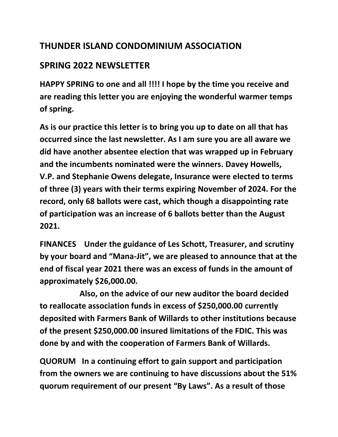## **THUNDER ISLAND CONDOMINIUM ASSOCIATION**

## **SPRING 2022 NEWSLETTER**

**HAPPY SPRING to one and all !!!! I hope by the time you receive and are reading this letter you are enjoying the wonderful warmer temps of spring.**

**As is our practice this letter is to bring you up to date on all that has occurred since the last newsletter. As I am sure you are all aware we did have another absentee election that was wrapped up in February and the incumbents nominated were the winners. Davey Howells, V.P. and Stephanie Owens delegate, Insurance were elected to terms of three (3) years with their terms expiring November of 2024. For the record, only 68 ballots were cast, which though a disappointing rate of participation was an increase of 6 ballots better than the August 2021.**

**FINANCES Under the guidance of Les Schott, Treasurer, and scrutiny by your board and "Mana-Jit", we are pleased to announce that at the end of fiscal year 2021 there was an excess of funds in the amount of approximately \$26,000.00.** 

 **Also, on the advice of our new auditor the board decided to reallocate association funds in excess of \$250,000.00 currently deposited with Farmers Bank of Willards to other institutions because of the present \$250,000.00 insured limitations of the FDIC. This was done by and with the cooperation of Farmers Bank of Willards.** 

**QUORUM In a continuing effort to gain support and participation from the owners we are continuing to have discussions about the 51% quorum requirement of our present "By Laws". As a result of those**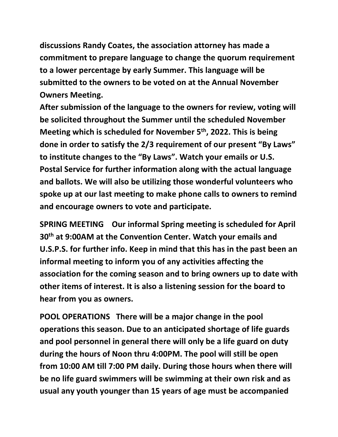**discussions Randy Coates, the association attorney has made a commitment to prepare language to change the quorum requirement to a lower percentage by early Summer. This language will be submitted to the owners to be voted on at the Annual November Owners Meeting.** 

**After submission of the language to the owners for review, voting will be solicited throughout the Summer until the scheduled November Meeting which is scheduled for November 5th, 2022. This is being done in order to satisfy the 2/3 requirement of our present "By Laws" to institute changes to the "By Laws". Watch your emails or U.S. Postal Service for further information along with the actual language and ballots. We will also be utilizing those wonderful volunteers who spoke up at our last meeting to make phone calls to owners to remind and encourage owners to vote and participate.** 

**SPRING MEETING Our informal Spring meeting is scheduled for April 30th at 9:00AM at the Convention Center. Watch your emails and U.S.P.S. for further info. Keep in mind that this has in the past been an informal meeting to inform you of any activities affecting the association for the coming season and to bring owners up to date with other items of interest. It is also a listening session for the board to hear from you as owners.**

**POOL OPERATIONS There will be a major change in the pool operations this season. Due to an anticipated shortage of life guards and pool personnel in general there will only be a life guard on duty during the hours of Noon thru 4:00PM. The pool will still be open from 10:00 AM till 7:00 PM daily. During those hours when there will be no life guard swimmers will be swimming at their own risk and as usual any youth younger than 15 years of age must be accompanied**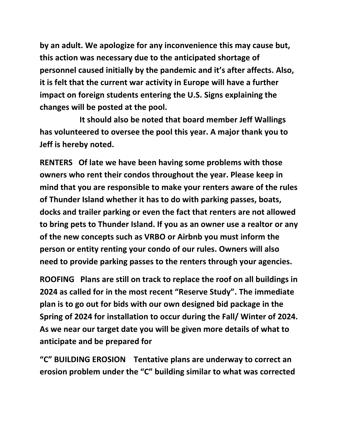**by an adult. We apologize for any inconvenience this may cause but, this action was necessary due to the anticipated shortage of personnel caused initially by the pandemic and it's after affects. Also, it is felt that the current war activity in Europe will have a further impact on foreign students entering the U.S. Signs explaining the changes will be posted at the pool.**

 **It should also be noted that board member Jeff Wallings has volunteered to oversee the pool this year. A major thank you to Jeff is hereby noted.**

**RENTERS Of late we have been having some problems with those owners who rent their condos throughout the year. Please keep in mind that you are responsible to make your renters aware of the rules of Thunder Island whether it has to do with parking passes, boats, docks and trailer parking or even the fact that renters are not allowed to bring pets to Thunder Island. If you as an owner use a realtor or any of the new concepts such as VRBO or Airbnb you must inform the person or entity renting your condo of our rules. Owners will also need to provide parking passes to the renters through your agencies.**

**ROOFING Plans are still on track to replace the roof on all buildings in 2024 as called for in the most recent "Reserve Study". The immediate plan is to go out for bids with our own designed bid package in the Spring of 2024 for installation to occur during the Fall/ Winter of 2024. As we near our target date you will be given more details of what to anticipate and be prepared for**

**"C" BUILDING EROSION Tentative plans are underway to correct an erosion problem under the "C" building similar to what was corrected**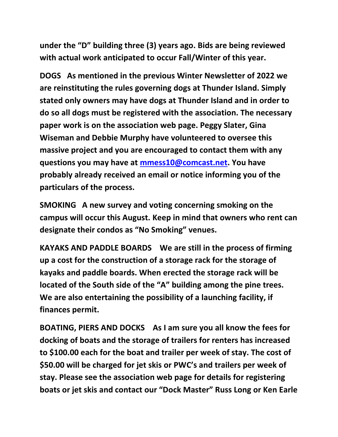**under the "D" building three (3) years ago. Bids are being reviewed with actual work anticipated to occur Fall/Winter of this year.**

**DOGS As mentioned in the previous Winter Newsletter of 2022 we are reinstituting the rules governing dogs at Thunder Island. Simply stated only owners may have dogs at Thunder Island and in order to do so all dogs must be registered with the association. The necessary paper work is on the association web page. Peggy Slater, Gina Wiseman and Debbie Murphy have volunteered to oversee this massive project and you are encouraged to contact them with any questions you may have at [mmess10@comcast.net.](mailto:mmess10@comcast.net) You have probably already received an email or notice informing you of the particulars of the process.**

**SMOKING A new survey and voting concerning smoking on the campus will occur this August. Keep in mind that owners who rent can designate their condos as "No Smoking" venues.**

**KAYAKS AND PADDLE BOARDS We are still in the process of firming up a cost for the construction of a storage rack for the storage of kayaks and paddle boards. When erected the storage rack will be located of the South side of the "A" building among the pine trees. We are also entertaining the possibility of a launching facility, if finances permit.**

**BOATING, PIERS AND DOCKS As I am sure you all know the fees for docking of boats and the storage of trailers for renters has increased to \$100.00 each for the boat and trailer per week of stay. The cost of \$50.00 will be charged for jet skis or PWC's and trailers per week of stay. Please see the association web page for details for registering boats or jet skis and contact our "Dock Master" Russ Long or Ken Earle**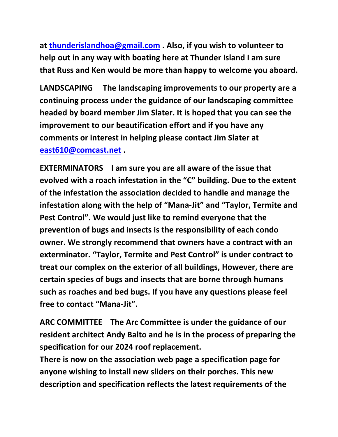**at [thunderislandhoa@gmail.com](mailto:thunderislandhoa@gmail.com) . Also, if you wish to volunteer to help out in any way with boating here at Thunder Island I am sure that Russ and Ken would be more than happy to welcome you aboard.**

**LANDSCAPING The landscaping improvements to our property are a continuing process under the guidance of our landscaping committee headed by board member Jim Slater. It is hoped that you can see the improvement to our beautification effort and if you have any comments or interest in helping please contact Jim Slater at [east610@comcast.net](mailto:east610@comcast.net) .**

**EXTERMINATORS I am sure you are all aware of the issue that evolved with a roach infestation in the "C" building. Due to the extent of the infestation the association decided to handle and manage the infestation along with the help of "Mana-Jit" and "Taylor, Termite and Pest Control". We would just like to remind everyone that the prevention of bugs and insects is the responsibility of each condo owner. We strongly recommend that owners have a contract with an exterminator. "Taylor, Termite and Pest Control" is under contract to treat our complex on the exterior of all buildings, However, there are certain species of bugs and insects that are borne through humans such as roaches and bed bugs. If you have any questions please feel free to contact "Mana-Jit".**

**ARC COMMITTEE The Arc Committee is under the guidance of our resident architect Andy Balto and he is in the process of preparing the specification for our 2024 roof replacement.** 

**There is now on the association web page a specification page for anyone wishing to install new sliders on their porches. This new description and specification reflects the latest requirements of the**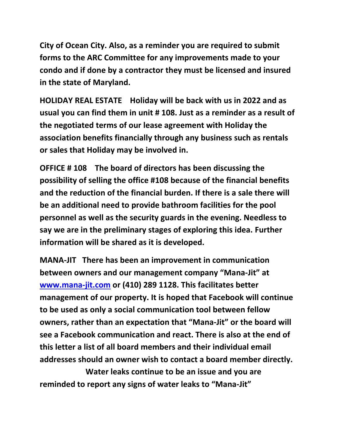**City of Ocean City. Also, as a reminder you are required to submit forms to the ARC Committee for any improvements made to your condo and if done by a contractor they must be licensed and insured in the state of Maryland.**

**HOLIDAY REAL ESTATE Holiday will be back with us in 2022 and as usual you can find them in unit # 108. Just as a reminder as a result of the negotiated terms of our lease agreement with Holiday the association benefits financially through any business such as rentals or sales that Holiday may be involved in.** 

**OFFICE # 108 The board of directors has been discussing the possibility of selling the office #108 because of the financial benefits and the reduction of the financial burden. If there is a sale there will be an additional need to provide bathroom facilities for the pool personnel as well as the security guards in the evening. Needless to say we are in the preliminary stages of exploring this idea. Further information will be shared as it is developed.**

**MANA-JIT There has been an improvement in communication between owners and our management company "Mana-Jit" at [www.mana-jit.com](http://www.mana-jit.com/) or (410) 289 1128. This facilitates better management of our property. It is hoped that Facebook will continue to be used as only a social communication tool between fellow owners, rather than an expectation that "Mana-Jit" or the board will see a Facebook communication and react. There is also at the end of this letter a list of all board members and their individual email addresses should an owner wish to contact a board member directly.** 

 **Water leaks continue to be an issue and you are reminded to report any signs of water leaks to "Mana-Jit"**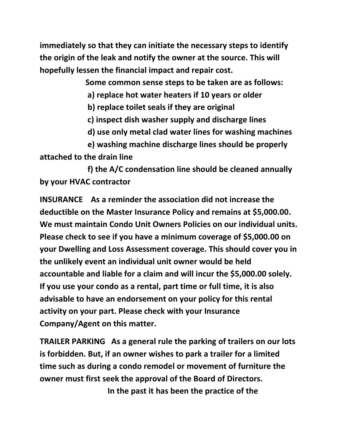**immediately so that they can initiate the necessary steps to identify the origin of the leak and notify the owner at the source. This will hopefully lessen the financial impact and repair cost.**

 **Some common sense steps to be taken are as follows:**

 **a) replace hot water heaters if 10 years or older**

 **b) replace toilet seals if they are original**

 **c) inspect dish washer supply and discharge lines**

 **d) use only metal clad water lines for washing machines**

 **e) washing machine discharge lines should be properly attached to the drain line**

 **f) the A/C condensation line should be cleaned annually by your HVAC contractor**

**INSURANCE As a reminder the association did not increase the deductible on the Master Insurance Policy and remains at \$5,000.00. We must maintain Condo Unit Owners Policies on our individual units. Please check to see if you have a minimum coverage of \$5,000.00 on your Dwelling and Loss Assessment coverage. This should cover you in the unlikely event an individual unit owner would be held accountable and liable for a claim and will incur the \$5,000.00 solely. If you use your condo as a rental, part time or full time, it is also advisable to have an endorsement on your policy for this rental activity on your part. Please check with your Insurance Company/Agent on this matter.**

**TRAILER PARKING As a general rule the parking of trailers on our lots is forbidden. But, if an owner wishes to park a trailer for a limited time such as during a condo remodel or movement of furniture the owner must first seek the approval of the Board of Directors.** 

 **In the past it has been the practice of the**